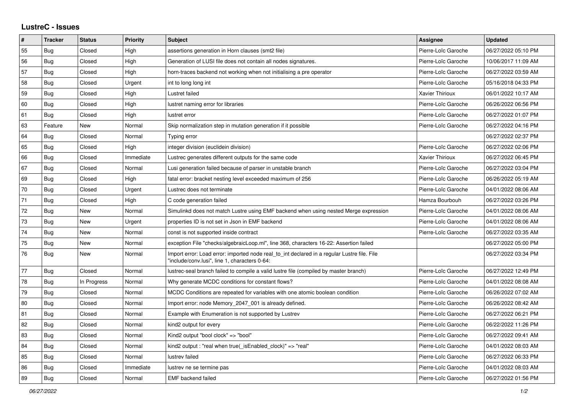## **LustreC - Issues**

| #  | <b>Tracker</b> | <b>Status</b> | <b>Priority</b> | <b>Subject</b>                                                                                                                               | Assignee            | <b>Updated</b>      |
|----|----------------|---------------|-----------------|----------------------------------------------------------------------------------------------------------------------------------------------|---------------------|---------------------|
| 55 | Bug            | Closed        | High            | assertions generation in Horn clauses (smt2 file)                                                                                            | Pierre-Loïc Garoche | 06/27/2022 05:10 PM |
| 56 | Bug            | Closed        | High            | Generation of LUSI file does not contain all nodes signatures.                                                                               | Pierre-Loïc Garoche | 10/06/2017 11:09 AM |
| 57 | Bug            | Closed        | High            | horn-traces backend not working when not initialising a pre operator                                                                         | Pierre-Loïc Garoche | 06/27/2022 03:59 AM |
| 58 | Bug            | Closed        | Urgent          | int to long long int                                                                                                                         | Pierre-Loïc Garoche | 05/16/2018 04:33 PM |
| 59 | <b>Bug</b>     | Closed        | High            | Lustret failed                                                                                                                               | Xavier Thirioux     | 06/01/2022 10:17 AM |
| 60 | <b>Bug</b>     | Closed        | High            | lustret naming error for libraries                                                                                                           | Pierre-Loïc Garoche | 06/26/2022 06:56 PM |
| 61 | Bug            | Closed        | High            | lustret error                                                                                                                                | Pierre-Loïc Garoche | 06/27/2022 01:07 PM |
| 63 | Feature        | New           | Normal          | Skip normalization step in mutation generation if it possible                                                                                | Pierre-Loïc Garoche | 06/27/2022 04:16 PM |
| 64 | <b>Bug</b>     | Closed        | Normal          | Typing error                                                                                                                                 |                     | 06/27/2022 02:37 PM |
| 65 | Bug            | Closed        | High            | integer division (euclidein division)                                                                                                        | Pierre-Loïc Garoche | 06/27/2022 02:06 PM |
| 66 | <b>Bug</b>     | Closed        | Immediate       | Lustrec generates different outputs for the same code                                                                                        | Xavier Thirioux     | 06/27/2022 06:45 PM |
| 67 | Bug            | Closed        | Normal          | Lusi generation failed because of parser in unstable branch                                                                                  | Pierre-Loïc Garoche | 06/27/2022 03:04 PM |
| 69 | <b>Bug</b>     | Closed        | High            | fatal error: bracket nesting level exceeded maximum of 256                                                                                   | Pierre-Loïc Garoche | 06/26/2022 05:19 AM |
| 70 | Bug            | Closed        | Urgent          | Lustrec does not terminate                                                                                                                   | Pierre-Loïc Garoche | 04/01/2022 08:06 AM |
| 71 | Bug            | Closed        | High            | C code generation failed                                                                                                                     | Hamza Bourbouh      | 06/27/2022 03:26 PM |
| 72 | Bug            | New           | Normal          | Simulinkd does not match Lustre using EMF backend when using nested Merge expression                                                         | Pierre-Loïc Garoche | 04/01/2022 08:06 AM |
| 73 | <b>Bug</b>     | New           | Urgent          | properties ID is not set in Json in EMF backend                                                                                              | Pierre-Loïc Garoche | 04/01/2022 08:06 AM |
| 74 | Bug            | New           | Normal          | const is not supported inside contract                                                                                                       | Pierre-Loïc Garoche | 06/27/2022 03:35 AM |
| 75 | <b>Bug</b>     | New           | Normal          | exception File "checks/algebraicLoop.ml", line 368, characters 16-22: Assertion failed                                                       |                     | 06/27/2022 05:00 PM |
| 76 | Bug            | New           | Normal          | Import error: Load error: imported node real_to_int declared in a regular Lustre file. File<br>"include/conv.lusi", line 1, characters 0-64: |                     | 06/27/2022 03:34 PM |
| 77 | Bug            | Closed        | Normal          | lustrec-seal branch failed to compile a valid lustre file (compiled by master branch)                                                        | Pierre-Loïc Garoche | 06/27/2022 12:49 PM |
| 78 | Bug            | In Progress   | Normal          | Why generate MCDC conditions for constant flows?                                                                                             | Pierre-Loïc Garoche | 04/01/2022 08:08 AM |
| 79 | <b>Bug</b>     | Closed        | Normal          | MCDC Conditions are repeated for variables with one atomic boolean condition                                                                 | Pierre-Loïc Garoche | 06/26/2022 07:02 AM |
| 80 | <b>Bug</b>     | Closed        | Normal          | Import error: node Memory_2047_001 is already defined.                                                                                       | Pierre-Loïc Garoche | 06/26/2022 08:42 AM |
| 81 | <b>Bug</b>     | Closed        | Normal          | Example with Enumeration is not supported by Lustrev                                                                                         | Pierre-Loïc Garoche | 06/27/2022 06:21 PM |
| 82 | Bug            | Closed        | Normal          | kind2 output for every                                                                                                                       | Pierre-Loïc Garoche | 06/22/2022 11:26 PM |
| 83 | <b>Bug</b>     | Closed        | Normal          | Kind2 output "bool clock" => "bool"                                                                                                          | Pierre-Loïc Garoche | 06/27/2022 09:41 AM |
| 84 | Bug            | Closed        | Normal          | kind2 output: "real when true( isEnabled clock)" => "real"                                                                                   | Pierre-Loïc Garoche | 04/01/2022 08:03 AM |
| 85 | Bug            | Closed        | Normal          | lustrev failed                                                                                                                               | Pierre-Loïc Garoche | 06/27/2022 06:33 PM |
| 86 | Bug            | Closed        | Immediate       | lustrev ne se termine pas                                                                                                                    | Pierre-Loïc Garoche | 04/01/2022 08:03 AM |
| 89 | Bug            | Closed        | Normal          | <b>EMF</b> backend failed                                                                                                                    | Pierre-Loïc Garoche | 06/27/2022 01:56 PM |